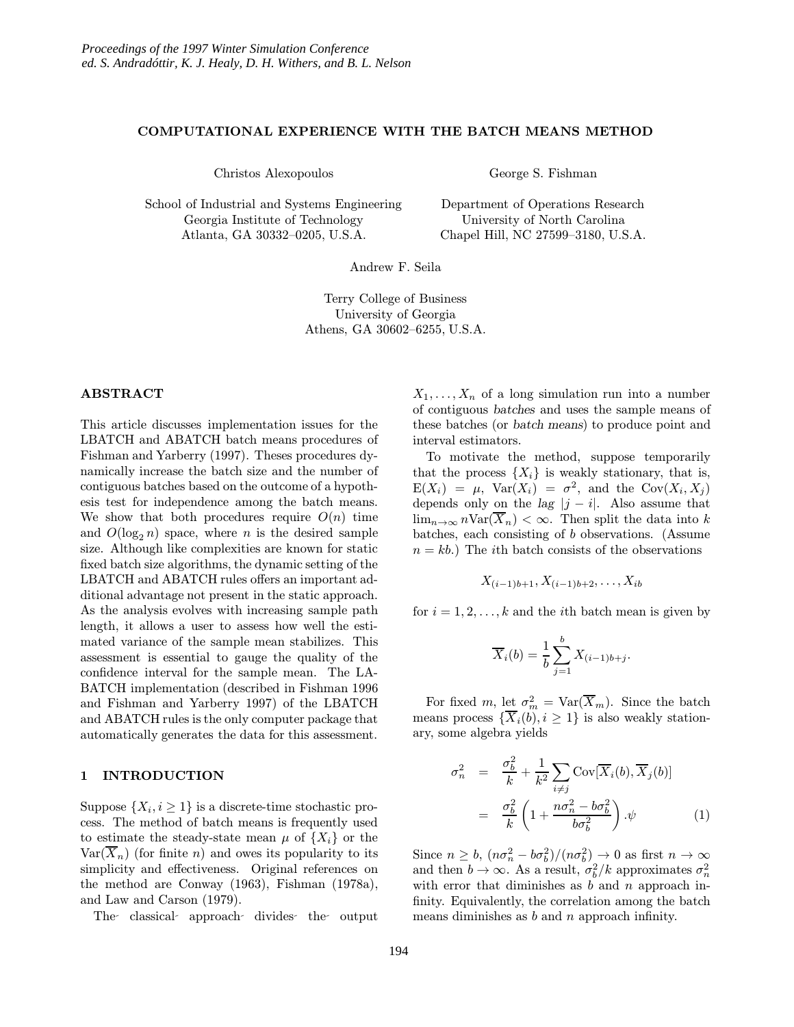### COMPUTATIONAL EXPERIENCE WITH THE BATCH MEANS METHOD

Christos Alexopoulos

School of Industrial and Systems Engineering Georgia Institute of Technology Atlanta, GA 30332–0205, U.S.A.

George S. Fishman

Department of Operations Research University of North Carolina Chapel Hill, NC 27599–3180, U.S.A.

Andrew F. Seila

Terry College of Business University of Georgia Athens, GA 30602–6255, U.S.A.

### ABSTRACT

This article discusses implementation issues for the LBATCH and ABATCH batch means procedures of Fishman and Yarberry (1997). Theses procedures dynamically increase the batch size and the number of contiguous batches based on the outcome of a hypothesis test for independence among the batch means. We show that both procedures require  $O(n)$  time and  $O(\log_2 n)$  space, where n is the desired sample size. Although like complexities are known for static fixed batch size algorithms, the dynamic setting of the LBATCH and ABATCH rules offers an important additional advantage not present in the static approach. As the analysis evolves with increasing sample path length, it allows a user to assess how well the estimated variance of the sample mean stabilizes. This assessment is essential to gauge the quality of the confidence interval for the sample mean. The LA-BATCH implementation (described in Fishman 1996 and Fishman and Yarberry 1997) of the LBATCH and ABATCH rules is the only computer package that automatically generates the data for this assessment.

### 1 INTRODUCTION

Suppose  $\{X_i, i \geq 1\}$  is a discrete-time stochastic process. The method of batch means is frequently used to estimate the steady-state mean  $\mu$  of  $\{X_i\}$  or the  $\text{Var}(\overline{X}_n)$  (for finite n) and owes its popularity to its simplicity and effectiveness. Original references on the method are Conway (1963), Fishman (1978a), and Law and Carson (1979).

The classical approach divides the output

 $X_1, \ldots, X_n$  of a long simulation run into a number of contiguous batches and uses the sample means of these batches (or batch means) to produce point and interval estimators.

To motivate the method, suppose temporarily that the process  $\{X_i\}$  is weakly stationary, that is,  $E(X_i) = \mu$ ,  $Var(X_i) = \sigma^2$ , and the  $Cov(X_i, X_j)$ depends only on the lag  $|j - i|$ . Also assume that  $\lim_{n\to\infty} n\text{Var}(\overline{X}_n) < \infty$ . Then split the data into k batches, each consisting of b observations. (Assume  $n = kb$ .) The *i*th batch consists of the observations

$$
X_{(i-1)b+1}, X_{(i-1)b+2}, \ldots, X_{ib}
$$

for  $i = 1, 2, \ldots, k$  and the *i*th batch mean is given by

$$
\overline{X}_i(b) = \frac{1}{b} \sum_{j=1}^b X_{(i-1)b+j}.
$$

For fixed m, let  $\sigma_m^2 = \text{Var}(\overline{X}_m)$ . Since the batch means process  $\{\overline{X}_i(b), i \geq 1\}$  is also weakly stationary, some algebra yields

$$
\sigma_n^2 = \frac{\sigma_b^2}{k} + \frac{1}{k^2} \sum_{i \neq j} \text{Cov}[\overline{X}_i(b), \overline{X}_j(b)]
$$

$$
= \frac{\sigma_b^2}{k} \left( 1 + \frac{n\sigma_n^2 - b\sigma_b^2}{b\sigma_b^2} \right) . \psi \tag{1}
$$

Since  $n \ge b$ ,  $(n\sigma_n^2 - b\sigma_b^2)/(n\sigma_b^2) \to 0$  as first  $n \to \infty$ and then  $b \to \infty$ . As a result,  $\sigma_b^2/k$  approximates  $\sigma_n^2$ with error that diminishes as  $b$  and  $n$  approach infinity. Equivalently, the correlation among the batch means diminishes as  $b$  and  $n$  approach infinity.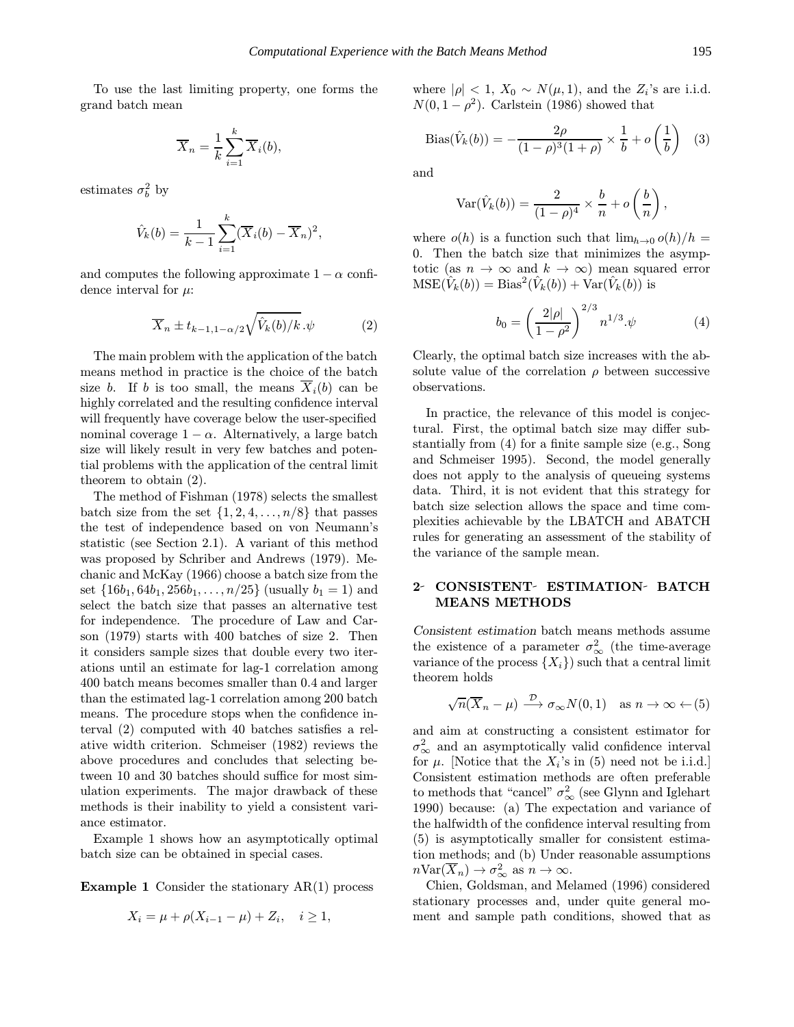To use the last limiting property, one forms the grand batch mean

$$
\overline{X}_n = \frac{1}{k} \sum_{i=1}^k \overline{X}_i(b),
$$

estimates  $\sigma_b^2$  by

$$
\hat{V}_k(b) = \frac{1}{k-1} \sum_{i=1}^k (\overline{X}_i(b) - \overline{X}_n)^2,
$$

and computes the following approximate  $1 - \alpha$  confidence interval for  $\mu$ :

$$
\overline{X}_n \pm t_{k-1,1-\alpha/2} \sqrt{\hat{V}_k(b)/k}.\psi \tag{2}
$$

The main problem with the application of the batch means method in practice is the choice of the batch size b. If b is too small, the means  $\overline{X}_i(b)$  can be highly correlated and the resulting confidence interval will frequently have coverage below the user-specified nominal coverage  $1 - \alpha$ . Alternatively, a large batch size will likely result in very few batches and potential problems with the application of the central limit theorem to obtain (2).

The method of Fishman (1978) selects the smallest batch size from the set  $\{1, 2, 4, \ldots, n/8\}$  that passes the test of independence based on von Neumann's statistic (see Section 2.1). A variant of this method was proposed by Schriber and Andrews (1979). Mechanic and McKay (1966) choose a batch size from the set  $\{16b_1, 64b_1, 256b_1, \ldots, n/25\}$  (usually  $b_1 = 1$ ) and select the batch size that passes an alternative test for independence. The procedure of Law and Carson (1979) starts with 400 batches of size 2. Then it considers sample sizes that double every two iterations until an estimate for lag-1 correlation among 400 batch means becomes smaller than 0.4 and larger than the estimated lag-1 correlation among 200 batch means. The procedure stops when the confidence interval (2) computed with 40 batches satisfies a relative width criterion. Schmeiser (1982) reviews the above procedures and concludes that selecting between 10 and 30 batches should suffice for most simulation experiments. The major drawback of these methods is their inability to yield a consistent variance estimator.

Example 1 shows how an asymptotically optimal batch size can be obtained in special cases.

**Example 1** Consider the stationary  $AR(1)$  process

$$
X_i = \mu + \rho(X_{i-1} - \mu) + Z_i, \quad i \ge 1,
$$

where  $|\rho| < 1$ ,  $X_0 \sim N(\mu, 1)$ , and the  $Z_i$ 's are i.i.d.  $N(0, 1 - \rho^2)$ . Carlstein (1986) showed that

Bias(
$$
\hat{V}_k(b)
$$
) =  $-\frac{2\rho}{(1-\rho)^3(1+\rho)} \times \frac{1}{b} + o\left(\frac{1}{b}\right)$  (3)

and

$$
Var(\hat{V}_k(b)) = \frac{2}{(1-\rho)^4} \times \frac{b}{n} + o\left(\frac{b}{n}\right),\,
$$

where  $o(h)$  is a function such that  $\lim_{h\to 0} o(h)/h =$ 0. Then the batch size that minimizes the asymptotic (as  $n \to \infty$  and  $k \to \infty$ ) mean squared error  $MSE(\hat{V}_k(b)) = Bias^2(\hat{V}_k(b)) + Var(\hat{V}_k(b))$  is

$$
b_0 = \left(\frac{2|\rho|}{1-\rho^2}\right)^{2/3} n^{1/3} \cdot \psi \tag{4}
$$

Clearly, the optimal batch size increases with the absolute value of the correlation  $\rho$  between successive observations.

In practice, the relevance of this model is conjectural. First, the optimal batch size may differ substantially from (4) for a finite sample size (e.g., Song and Schmeiser 1995). Second, the model generally does not apply to the analysis of queueing systems data. Third, it is not evident that this strategy for batch size selection allows the space and time complexities achievable by the LBATCH and ABATCH rules for generating an assessment of the stability of the variance of the sample mean.

# 2- CONSISTENT- ESTIMATION- BATCH MEANS METHODS

Consistent estimation batch means methods assume the existence of a parameter  $\sigma_{\infty}^2$  (the time-average variance of the process  $\{X_i\}$  such that a central limit theorem holds

$$
\sqrt{n}(\overline{X}_n - \mu) \xrightarrow{\mathcal{D}} \sigma_\infty N(0, 1) \quad \text{as } n \to \infty \leftarrow (5)
$$

and aim at constructing a consistent estimator for  $\sigma_{\infty}^2$  and an asymptotically valid confidence interval for  $\mu$ . [Notice that the  $X_i$ 's in (5) need not be i.i.d.] Consistent estimation methods are often preferable to methods that "cancel"  $\sigma_{\infty}^2$  (see Glynn and Iglehart 1990) because: (a) The expectation and variance of the halfwidth of the confidence interval resulting from (5) is asymptotically smaller for consistent estimation methods; and (b) Under reasonable assumptions  $n\text{Var}(\overline{X}_n) \to \sigma_\infty^2$  as  $n \to \infty$ .

Chien, Goldsman, and Melamed (1996) considered stationary processes and, under quite general moment and sample path conditions, showed that as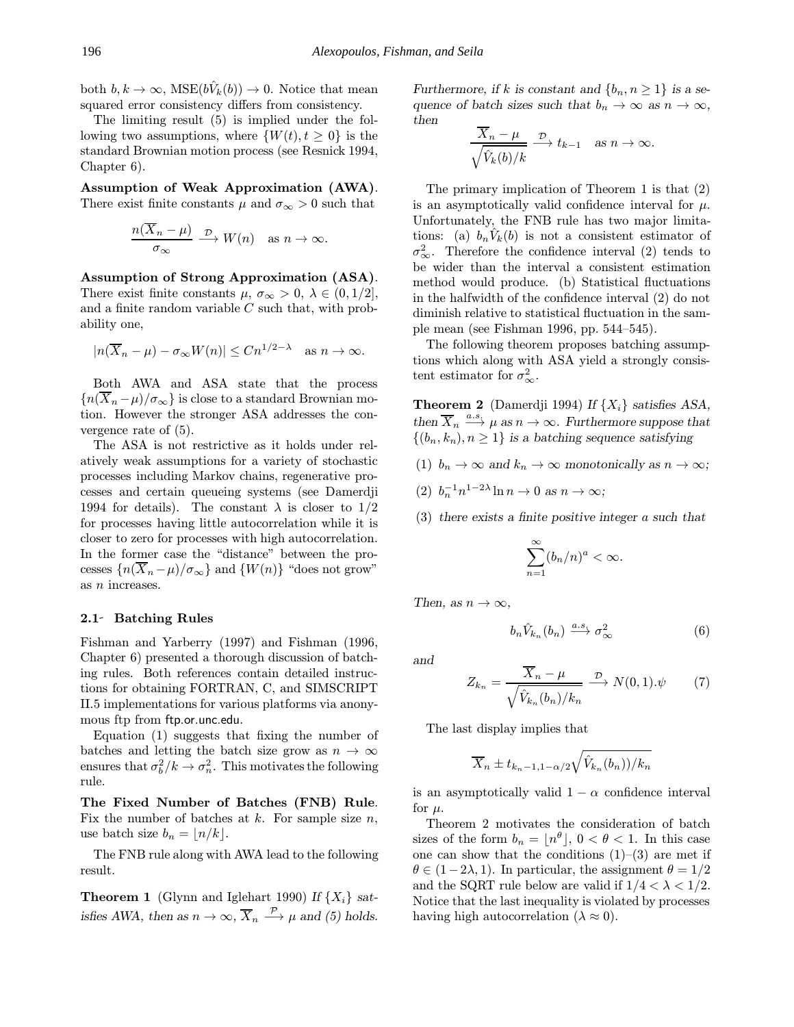both  $b, k \to \infty$ , MSE $(b\hat{V}_k(b)) \to 0$ . Notice that mean squared error consistency differs from consistency.

The limiting result (5) is implied under the following two assumptions, where  $\{W(t), t \geq 0\}$  is the standard Brownian motion process (see Resnick 1994, Chapter 6).

Assumption of Weak Approximation (AWA). There exist finite constants  $\mu$  and  $\sigma_{\infty} > 0$  such that

$$
\frac{n(\overline{X}_n - \mu)}{\sigma_{\infty}} \xrightarrow{\mathcal{D}} W(n) \text{ as } n \to \infty.
$$

Assumption of Strong Approximation (ASA). There exist finite constants  $\mu$ ,  $\sigma_{\infty} > 0$ ,  $\lambda \in (0, 1/2]$ , and a finite random variable  $C$  such that, with probability one,

$$
|n(\overline{X}_n - \mu) - \sigma_\infty W(n)| \le Cn^{1/2 - \lambda} \quad \text{as } n \to \infty.
$$

Both AWA and ASA state that the process  ${n(\overline{X}_n-\mu)/\sigma_\infty}$  is close to a standard Brownian motion. However the stronger ASA addresses the convergence rate of (5).

The ASA is not restrictive as it holds under relatively weak assumptions for a variety of stochastic processes including Markov chains, regenerative processes and certain queueing systems (see Damerdji 1994 for details). The constant  $\lambda$  is closer to  $1/2$ for processes having little autocorrelation while it is closer to zero for processes with high autocorrelation. In the former case the "distance" between the processes  ${n(\overline{X}_n-\mu)/\sigma_\infty}$  and  ${W(n)}$  "does not grow" as n increases.

### 2.1 Batching Rules

Fishman and Yarberry (1997) and Fishman (1996, Chapter 6) presented a thorough discussion of batching rules. Both references contain detailed instructions for obtaining FORTRAN, C, and SIMSCRIPT II.5 implementations for various platforms via anonymous ftp from ftp.or.unc.edu.

Equation (1) suggests that fixing the number of batches and letting the batch size grow as  $n \to \infty$ ensures that  $\sigma_b^2/k \to \sigma_n^2$ . This motivates the following rule.

The Fixed Number of Batches (FNB) Rule. Fix the number of batches at  $k$ . For sample size  $n$ , use batch size  $b_n = |n/k|$ .

The FNB rule along with AWA lead to the following result.

**Theorem 1** (Glynn and Iglehart 1990) If  $\{X_i\}$  satisfies AWA, then as  $n \to \infty$ ,  $\overline{X}_n \stackrel{\mathcal{P}}{\longrightarrow} \mu$  and (5) holds. Furthermore, if k is constant and  $\{b_n, n \geq 1\}$  is a sequence of batch sizes such that  $b_n \to \infty$  as  $n \to \infty$ , then

$$
\frac{X_n - \mu}{\sqrt{\hat{V}_k(b)/k}} \xrightarrow{\mathcal{D}} t_{k-1} \quad \text{as } n \to \infty.
$$

The primary implication of Theorem 1 is that (2) is an asymptotically valid confidence interval for  $\mu$ . Unfortunately, the FNB rule has two major limitations: (a)  $b_nV_k(b)$  is not a consistent estimator of  $\sigma_{\infty}^2$ . Therefore the confidence interval (2) tends to be wider than the interval a consistent estimation method would produce. (b) Statistical fluctuations in the halfwidth of the confidence interval (2) do not diminish relative to statistical fluctuation in the sample mean (see Fishman 1996, pp. 544–545).

The following theorem proposes batching assumptions which along with ASA yield a strongly consistent estimator for  $\sigma_{\infty}^2$ .

**Theorem 2** (Damerdji 1994) If  $\{X_i\}$  satisfies ASA, then  $\overline{X}_n \stackrel{a.s.}{\longrightarrow} \mu$  as  $n \to \infty$ . Furthermore suppose that  $\{(b_n, k_n), n \geq 1\}$  is a batching sequence satisfying

- (1)  $b_n \to \infty$  and  $k_n \to \infty$  monotonically as  $n \to \infty$ ;
- (2)  $b_n^{-1}n^{1-2\lambda}\ln n \to 0 \text{ as } n \to \infty;$
- (3) there exists a finite positive integer a such that

$$
\sum_{n=1}^{\infty} (b_n/n)^a < \infty.
$$

Then, as  $n \to \infty$ ,

$$
b_n \hat{V}_{k_n}(b_n) \xrightarrow{a.s.} \sigma^2_{\infty} \tag{6}
$$

and

$$
Z_{k_n} = \frac{\overline{X}_n - \mu}{\sqrt{\hat{V}_{k_n}(b_n)/k_n}} \xrightarrow{\mathcal{D}} N(0,1).\psi \qquad (7)
$$

The last display implies that

$$
\overline{X}_n \pm t_{k_n-1,1-\alpha/2} \sqrt{\hat{V}_{k_n}(b_n))/k_n}
$$

is an asymptotically valid  $1 - \alpha$  confidence interval for  $\mu$ .

Theorem 2 motivates the consideration of batch sizes of the form  $b_n = |n^{\theta}|, 0 < \theta < 1$ . In this case one can show that the conditions  $(1)$ – $(3)$  are met if  $\theta \in (1-2\lambda, 1)$ . In particular, the assignment  $\theta = 1/2$ and the SQRT rule below are valid if  $1/4 < \lambda < 1/2$ . Notice that the last inequality is violated by processes having high autocorrelation ( $\lambda \approx 0$ ).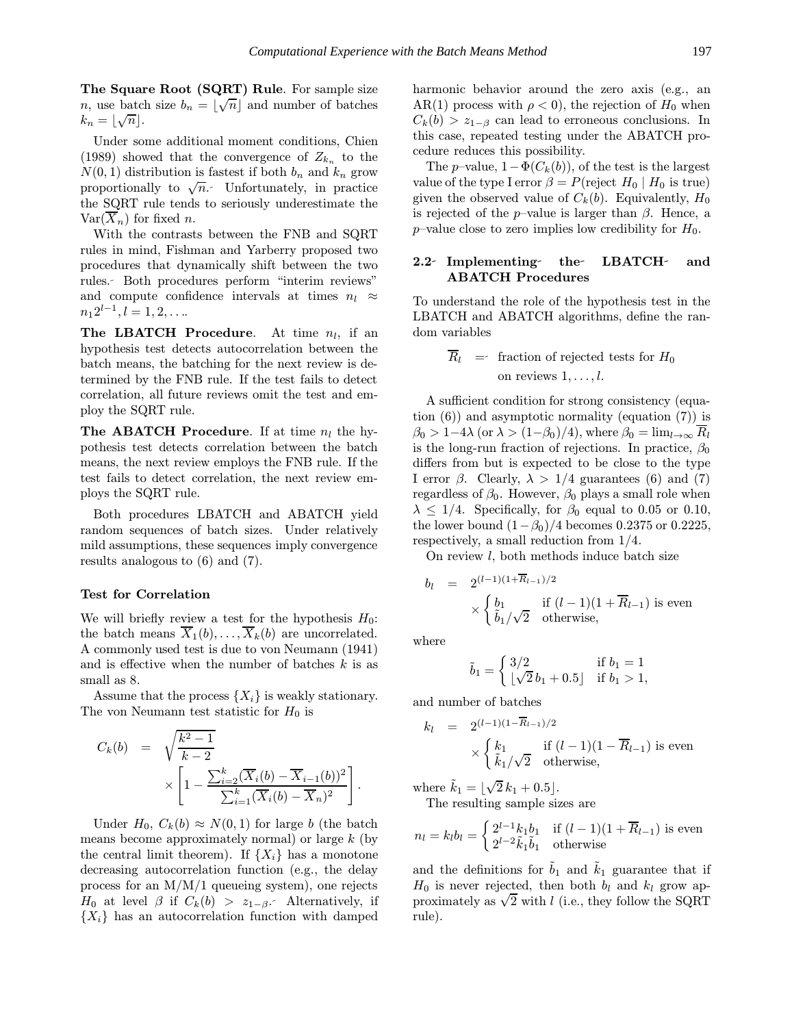The Square Root (SQRT) Rule. For sample size The Square Root (SQRT) Rule. For sample size  $n$ , use batch size  $b_n = \lfloor \sqrt{n} \rfloor$  and number of batches  $k_n = \lfloor \sqrt{n} \rfloor$ .

Under some additional moment conditions, Chien (1989) showed that the convergence of  $Z_{k_n}$  to the  $N(0, 1)$  distribution is fastest if both  $b_n$  and  $k_n$  grow proportionally to  $\sqrt{n}$ . Unfortunately, in practice the SQRT rule tends to seriously underestimate the  $Var(X_n)$  for fixed n.

With the contrasts between the FNB and SQRT rules in mind, Fishman and Yarberry proposed two procedures that dynamically shift between the two rules. Both procedures perform "interim reviews" and compute confidence intervals at times  $n_l \approx$  $n_1 2^{l-1}, l = 1, 2, \ldots$ 

The LBATCH Procedure. At time  $n_l$ , if an hypothesis test detects autocorrelation between the batch means, the batching for the next review is determined by the FNB rule. If the test fails to detect correlation, all future reviews omit the test and employ the SQRT rule.

**The ABATCH Procedure.** If at time  $n_l$  the hypothesis test detects correlation between the batch means, the next review employs the FNB rule. If the test fails to detect correlation, the next review employs the SQRT rule.

Both procedures LBATCH and ABATCH yield random sequences of batch sizes. Under relatively mild assumptions, these sequences imply convergence results analogous to (6) and (7).

#### Test for Correlation

We will briefly review a test for the hypothesis  $H_0$ : the batch means  $\overline{X}_1(b), \ldots, \overline{X}_k(b)$  are uncorrelated. A commonly used test is due to von Neumann (1941) and is effective when the number of batches  $k$  is as small as 8.

Assume that the process  $\{X_i\}$  is weakly stationary. The von Neumann test statistic for  $H_0$  is

$$
C_k(b) = \sqrt{\frac{k^2 - 1}{k - 2}} \times \left[1 - \frac{\sum_{i=2}^k (\overline{X}_i(b) - \overline{X}_{i-1}(b))^2}{\sum_{i=1}^k (\overline{X}_i(b) - \overline{X}_n)^2}\right]
$$

Under  $H_0$ ,  $C_k(b) \approx N(0, 1)$  for large b (the batch means become approximately normal) or large  $k$  (by the central limit theorem). If  $\{X_i\}$  has a monotone decreasing autocorrelation function (e.g., the delay process for an M/M/1 queueing system), one rejects  $H_0$  at level  $\beta$  if  $C_k(b) > z_{1-\beta}$ . Alternatively, if  ${X_i}$  has an autocorrelation function with damped

harmonic behavior around the zero axis (e.g., an AR(1) process with  $\rho < 0$ , the rejection of  $H_0$  when  $C_k(b) > z_{1-\beta}$  can lead to erroneous conclusions. In this case, repeated testing under the ABATCH procedure reduces this possibility.

The p–value,  $1-\Phi(C_k(b))$ , of the test is the largest value of the type I error  $\beta = P$ (reject  $H_0 | H_0$  is true) given the observed value of  $C_k(b)$ . Equivalently,  $H_0$ is rejected of the *p*–value is larger than  $\beta$ . Hence, a  $p$ –value close to zero implies low credibility for  $H_0$ .

### 2.2 Implementing the LBATCH and ABATCH Procedures

To understand the role of the hypothesis test in the LBATCH and ABATCH algorithms, define the random variables

$$
\overline{R}_l =\n \text{fraction of rejected tests for } H_0
$$
\n
$$
\text{on reviews } 1, \ldots, l.
$$

A sufficient condition for strong consistency (equation (6)) and asymptotic normality (equation (7)) is  $\beta_0 > 1-4\lambda$  (or  $\lambda > (1-\beta_0)/4$ ), where  $\beta_0 = \lim_{l \to \infty} R_l$ is the long-run fraction of rejections. In practice,  $\beta_0$ differs from but is expected to be close to the type I error  $\beta$ . Clearly,  $\lambda > 1/4$  guarantees (6) and (7) regardless of  $\beta_0$ . However,  $\beta_0$  plays a small role when  $\lambda \leq 1/4$ . Specifically, for  $\beta_0$  equal to 0.05 or 0.10, the lower bound  $(1-\beta_0)/4$  becomes 0.2375 or 0.2225, respectively, a small reduction from 1/4.

On review  $l$ , both methods induce batch size

$$
b_l = 2^{(l-1)(1+\overline{R}_{l-1})/2}
$$
  
 
$$
\times \begin{cases} b_1 & \text{if } (l-1)(1+\overline{R}_{l-1}) \text{ is even} \\ \tilde{b}_1/\sqrt{2} & \text{otherwise,} \end{cases}
$$

where

.

$$
\tilde{b}_1 = \begin{cases} 3/2 & \text{if } b_1 = 1\\ \lfloor \sqrt{2} b_1 + 0.5 \rfloor & \text{if } b_1 > 1, \end{cases}
$$

and number of batches

$$
k_l = 2^{(l-1)(1-\overline{R}_{l-1})/2}
$$
  
 
$$
\times \begin{cases} k_1 & \text{if } (l-1)(1-\overline{R}_{l-1}) \text{ is even} \\ \tilde{k}_1/\sqrt{2} & \text{otherwise,} \end{cases}
$$

where  $\tilde{k}_1 = \lfloor$ √  $2 k_1 + 0.5$ . The resulting sample sizes are

$$
n_l = k_l b_l = \begin{cases} 2^{l-1} k_1 b_1 & \text{if } (l-1)(1 + \overline{R}_{l-1}) \text{ is even} \\ 2^{l-2} \tilde{k}_1 \tilde{b}_1 & \text{otherwise} \end{cases}
$$

and the definitions for  $\tilde{b}_1$  and  $\tilde{k}_1$  guarantee that if  $H_0$  is never rejected, then both  $b_l$  and  $k_l$  grow ap- $H_0$  is never rejected, then both  $v_l$  and  $\kappa_l$  grow approximately as  $\sqrt{2}$  with l (i.e., they follow the SQRT rule).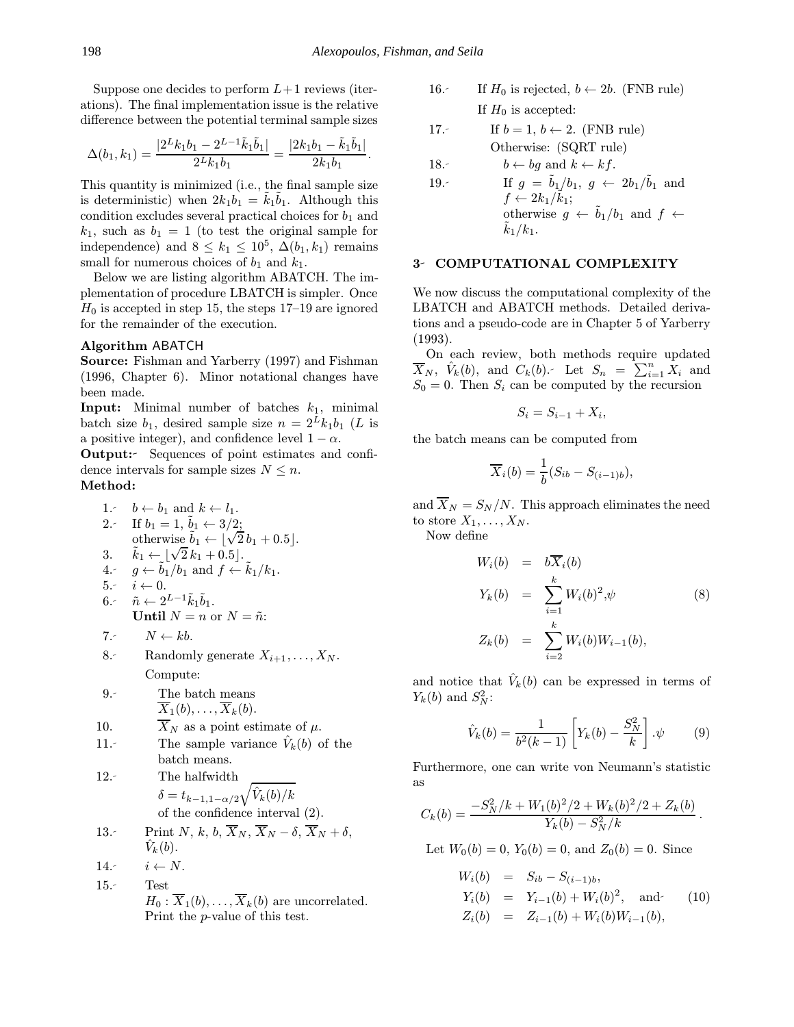Suppose one decides to perform  $L+1$  reviews (iterations). The final implementation issue is the relative difference between the potential terminal sample sizes

$$
\Delta(b_1, k_1) = \frac{|2^L k_1 b_1 - 2^{L-1} \tilde{k}_1 \tilde{b}_1|}{2^L k_1 b_1} = \frac{|2 k_1 b_1 - \tilde{k}_1 \tilde{b}_1|}{2 k_1 b_1}.
$$

This quantity is minimized (i.e., the final sample size is deterministic) when  $2k_1b_1 = \tilde{k}_1\tilde{b}_1$ . Although this condition excludes several practical choices for  $b_1$  and  $k_1$ , such as  $b_1 = 1$  (to test the original sample for independence) and  $8 \leq k_1 \leq 10^5$ ,  $\Delta(b_1, k_1)$  remains small for numerous choices of  $b_1$  and  $k_1$ .

Below we are listing algorithm ABATCH. The implementation of procedure LBATCH is simpler. Once  $H_0$  is accepted in step 15, the steps 17–19 are ignored for the remainder of the execution.

### Algorithm ABATCH

Source: Fishman and Yarberry (1997) and Fishman (1996, Chapter 6). Minor notational changes have been made.

**Input:** Minimal number of batches  $k_1$ , minimal batch size  $b_1$ , desired sample size  $n = 2^L k_1 b_1$  (L is a positive integer), and confidence level  $1 - \alpha$ .

Output: Sequences of point estimates and confidence intervals for sample sizes  $N \leq n$ . Method:

1. 
$$
b \leftarrow b_1
$$
 and  $k \leftarrow l_1$ .  
\n2.  $\text{If } b_1 = 1, b_1 \leftarrow 3/2$ ;  
\notherwise  $b_1 \leftarrow \lfloor \sqrt{2} b_1 + 0.5 \rfloor$ .  
\n3.  $\tilde{k}_1 \leftarrow \lfloor \sqrt{2} k_1 + 0.5 \rfloor$ .  
\n4.  $g \leftarrow \tilde{b}_1/b_1$  and  $f \leftarrow \tilde{k}_1/k_1$ .  
\n5.  $i \leftarrow 0$ .  
\n6.  $\tilde{n} \leftarrow 2^{L-1} \tilde{k}_1 \tilde{b}_1$ .  
\n**Until**  $N = n$  or  $N = \tilde{n}$ :  
\n7.  $N \leftarrow kb$ .  
\n8. Randomly generate  $X_{i+1}, \ldots, X_N$ .  
\nCompute:  
\n9.  $\text{The batch means}$   
\n $\overline{X}_1(b), \ldots, \overline{X}_k(b)$ .  
\n10.  $\overline{X}_N$  as a point estimate of  $\mu$ .  
\n11.  $\text{The sample variance } \hat{V}_k(b)$  of the batch means.  
\n12.  $\text{The halfwidth}$   
\n $\delta = t_{k-1, 1-\alpha/2} \sqrt{\hat{V}_k(b)/k}$   
\nof the confidence interval (2).  
\n13.  $\text{Print } N, k, b, \overline{X}_N, \overline{X}_N - \delta, \overline{X}_N + \delta, \hat{V}_k(b)$ .  
\n14.  $i \leftarrow N$ .  
\n15.  $\text{Test}$   
\n $H_0: \overline{X}_1(b), \ldots, \overline{X}_k(b)$  are uncorrelated.  
\nPrint the *p*-value of this test.

16. If  $H_0$  is rejected,  $b \leftarrow 2b$ . (FNB rule) If  $H_0$  is accepted:

17. If 
$$
b = 1
$$
,  $b \leftarrow 2$ . (FNB rule)  
Otherwise: (SQRT rule)

18. 
$$
b \leftarrow bg \text{ and } k \leftarrow kf.
$$

19. If 
$$
g = \tilde{b}_1/b_1
$$
,  $g \leftarrow 2b_1/\tilde{b}_1$  and  
\n $f \leftarrow 2k_1/\tilde{k}_1$ ;  
\notherwise  $g \leftarrow \tilde{b}_1/b_1$  and  $f \leftarrow \tilde{k}_1/k_1$ .

## 3- COMPUTATIONAL COMPLEXITY

We now discuss the computational complexity of the LBATCH and ABATCH methods. Detailed derivations and a pseudo-code are in Chapter 5 of Yarberry (1993).

On each review, both methods require updated  $\overline{X}_N$ ,  $\hat{V}_k(b)$ , and  $C_k(b)$ . Let  $S_n = \sum_{i=1}^n X_i$  and  $S_0 = 0$ . Then  $S_i$  can be computed by the recursion

$$
S_i = S_{i-1} + X_i,
$$

the batch means can be computed from

$$
\overline{X}_i(b) = \frac{1}{b}(S_{ib} - S_{(i-1)b}),
$$

and  $\overline{X}_N = S_N/N$ . This approach eliminates the need to store  $X_1, \ldots, X_N$ .

Now define

$$
W_i(b) = b\overline{X}_i(b)
$$
  
\n
$$
Y_k(b) = \sum_{i=1}^k W_i(b)^2 \psi
$$
 (8)  
\n
$$
Z_k(b) = \sum_{i=2}^k W_i(b)W_{i-1}(b),
$$

and notice that  $V_k(b)$  can be expressed in terms of  $Y_k(b)$  and  $S_N^2$ :

$$
\hat{V}_k(b) = \frac{1}{b^2(k-1)} \left[ Y_k(b) - \frac{S_N^2}{k} \right] . \psi \tag{9}
$$

Furthermore, one can write von Neumann's statistic as

$$
C_k(b) = \frac{-S_N^2/k + W_1(b)^2/2 + W_k(b)^2/2 + Z_k(b)}{Y_k(b) - S_N^2/k}.
$$

Let  $W_0(b) = 0$ ,  $Y_0(b) = 0$ , and  $Z_0(b) = 0$ . Since

$$
W_i(b) = S_{ib} - S_{(i-1)b},
$$
  
\n
$$
Y_i(b) = Y_{i-1}(b) + W_i(b)^2, \text{ and } (10)
$$
  
\n
$$
Z_i(b) = Z_{i-1}(b) + W_i(b)W_{i-1}(b),
$$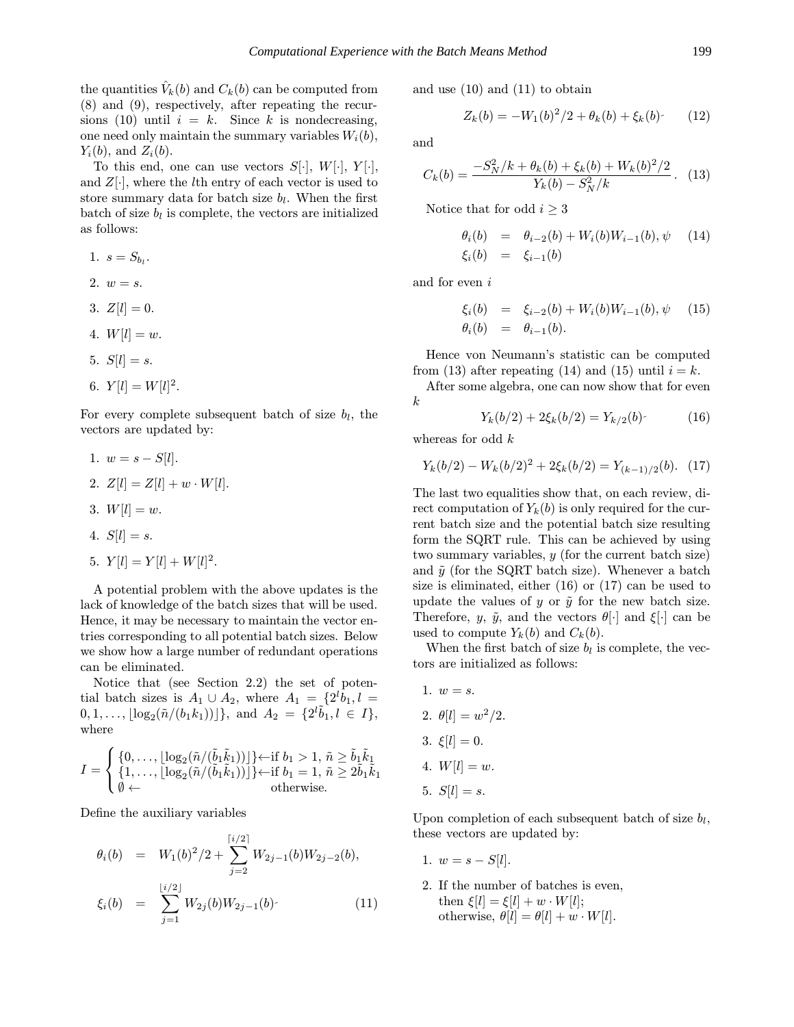the quantities  $V_k(b)$  and  $C_k(b)$  can be computed from (8) and (9), respectively, after repeating the recursions (10) until  $i = k$ . Since k is nondecreasing, one need only maintain the summary variables  $W_i(b)$ ,  $Y_i(b)$ , and  $Z_i(b)$ .

To this end, one can use vectors  $S[\cdot], W[\cdot], Y[\cdot],$ and  $Z[\cdot]$ , where the *l*th entry of each vector is used to store summary data for batch size  $b_l$ . When the first batch of size  $b_l$  is complete, the vectors are initialized as follows:

1. 
$$
s = S_{b_l}
$$
.  
\n2.  $w = s$ .  
\n3.  $Z[l] = 0$ .  
\n4.  $W[l] = w$ .  
\n5.  $S[l] = s$ .  
\n6.  $Y[l] = W[l]^2$ .

For every complete subsequent batch of size  $b_l$ , the vectors are updated by:

- 1.  $w = s S[l]$ .
- 2.  $Z[l] = Z[l] + w \cdot W[l].$
- 3.  $W[l] = w$ .
- 4.  $S[l] = s$ .

5. 
$$
Y[l] = Y[l] + W[l]^2
$$
.

A potential problem with the above updates is the lack of knowledge of the batch sizes that will be used. Hence, it may be necessary to maintain the vector entries corresponding to all potential batch sizes. Below we show how a large number of redundant operations can be eliminated.

Notice that (see Section 2.2) the set of potential batch sizes is  $A_1 \cup A_2$ , where  $A_1 = \{2^l b_1, l =$  $[0, 1, \ldots, \lfloor \log_2(\tilde{n}/(b_1k_1)) \rfloor], \text{ and } A_2 = \{2^l \tilde{b}_1, l \in I\},$ where

$$
I = \begin{cases} \{0, \ldots, \lfloor \log_2(\tilde{n}/(\tilde{b}_1 \tilde{k}_1)) \rfloor \} \leftarrow \text{if } b_1 > 1, \, \tilde{n} \geq \tilde{b}_1 \tilde{k}_1 \\ \{1, \ldots, \lfloor \log_2(\tilde{n}/(\tilde{b}_1 \tilde{k}_1)) \rfloor \} \leftarrow \text{if } b_1 = 1, \, \tilde{n} \geq 2 \tilde{b}_1 \tilde{k}_1 \\ \emptyset \leftarrow & \text{otherwise.} \end{cases}
$$

Define the auxiliary variables

$$
\theta_i(b) = W_1(b)^2/2 + \sum_{j=2}^{\lceil i/2 \rceil} W_{2j-1}(b) W_{2j-2}(b),
$$
  

$$
\xi_i(b) = \sum_{j=1}^{\lfloor i/2 \rfloor} W_{2j}(b) W_{2j-1}(b)
$$
 (11)

and use (10) and (11) to obtain

$$
Z_k(b) = -W_1(b)^2/2 + \theta_k(b) + \xi_k(b)
$$
 (12)

and

$$
C_k(b) = \frac{-S_N^2/k + \theta_k(b) + \xi_k(b) + W_k(b)^2/2}{Y_k(b) - S_N^2/k}.
$$
 (13)

Notice that for odd  $i \geq 3$ 

$$
\begin{array}{rcl}\n\theta_i(b) & = & \theta_{i-2}(b) + W_i(b)W_{i-1}(b), \psi \quad (14) \\
\xi_i(b) & = & \xi_{i-1}(b)\n\end{array}
$$

and for even i

$$
\xi_i(b) = \xi_{i-2}(b) + W_i(b)W_{i-1}(b), \psi \quad (15) \n\theta_i(b) = \theta_{i-1}(b).
$$

Hence von Neumann's statistic can be computed from (13) after repeating (14) and (15) until  $i = k$ .

After some algebra, one can now show that for even k

 $Y_k(b/2) + 2\xi_k(b/2) = Y_{k/2}(b)$  (16)

whereas for odd  $k$ 

$$
Y_k(b/2) - W_k(b/2)^2 + 2\xi_k(b/2) = Y_{(k-1)/2}(b). \quad (17)
$$

The last two equalities show that, on each review, direct computation of  $Y_k(b)$  is only required for the current batch size and the potential batch size resulting form the SQRT rule. This can be achieved by using two summary variables, y (for the current batch size) and  $\tilde{y}$  (for the SQRT batch size). Whenever a batch size is eliminated, either (16) or (17) can be used to update the values of y or  $\tilde{y}$  for the new batch size. Therefore, y,  $\tilde{y}$ , and the vectors  $\theta[\cdot]$  and  $\xi[\cdot]$  can be used to compute  $Y_k(b)$  and  $C_k(b)$ .

When the first batch of size  $b_l$  is complete, the vectors are initialized as follows:

- 1.  $w = s$ .
- 2.  $\theta[l] = w^2/2$ .
- 3.  $\xi[l] = 0$ .
- 4.  $W[l] = w$ .
- 5.  $S[l] = s$ .

Upon completion of each subsequent batch of size  $b_l$ , these vectors are updated by:

- 1.  $w = s S[l]$ .
- 2. If the number of batches is even, then  $\xi[l] = \xi[l] + w \cdot W[l];$ otherwise,  $\theta[l] = \theta[l] + w \cdot W[l]$ .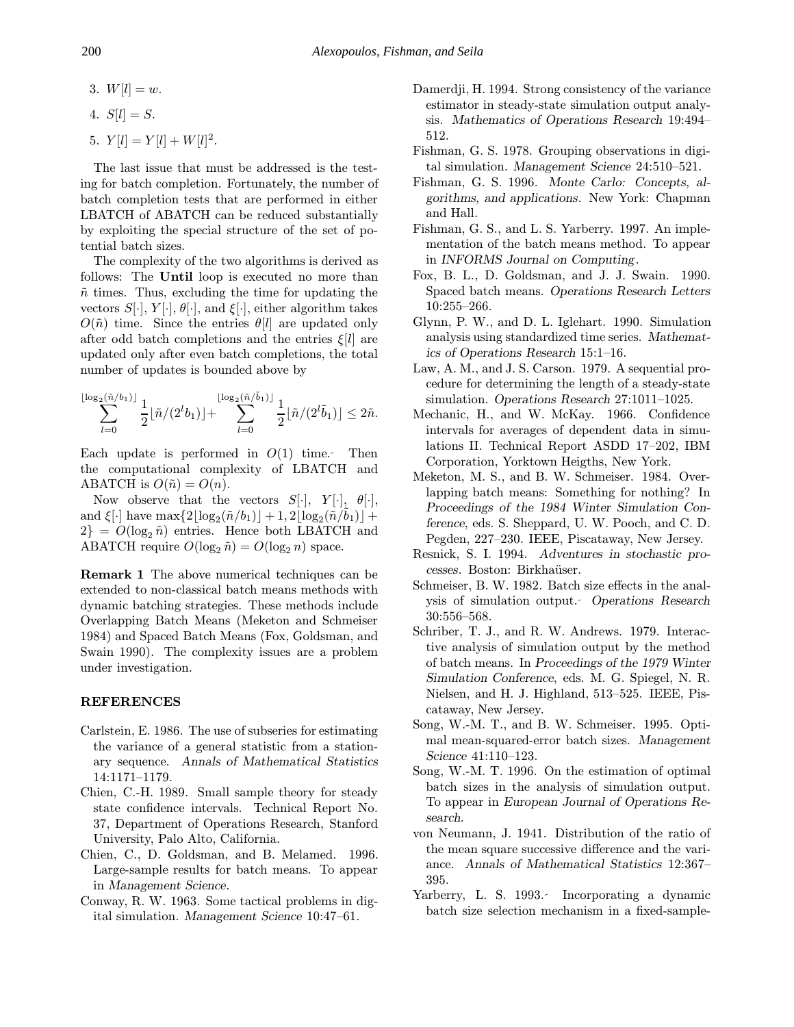3.  $W[l] = w$ .

$$
4. S[l] = S.
$$

5.  $Y[l] = Y[l] + W[l]^2$ .

The last issue that must be addressed is the testing for batch completion. Fortunately, the number of batch completion tests that are performed in either LBATCH of ABATCH can be reduced substantially by exploiting the special structure of the set of potential batch sizes.

The complexity of the two algorithms is derived as follows: The Until loop is executed no more than  $\tilde{n}$  times. Thus, excluding the time for updating the vectors  $S[\cdot], Y[\cdot], \theta[\cdot],$  and  $\xi[\cdot],$  either algorithm takes  $O(\tilde{n})$  time. Since the entries  $\theta|l|$  are updated only after odd batch completions and the entries  $\xi[l]$  are updated only after even batch completions, the total number of updates is bounded above by

$$
\sum_{l=0}^{\lfloor \log_2(\tilde{n}/b_1)\rfloor} \frac{1}{2} \lfloor \tilde{n}/(2^l b_1)\rfloor + \sum_{l=0}^{\lfloor \log_2(\tilde{n}/\tilde{b}_1)\rfloor} \frac{1}{2} \lfloor \tilde{n}/(2^l \tilde{b}_1)\rfloor \leq 2\tilde{n}.
$$

Each update is performed in  $O(1)$  time. Then the computational complexity of LBATCH and ABATCH is  $O(\tilde{n}) = O(n)$ .

Now observe that the vectors  $S[\cdot], Y[\cdot], \theta[\cdot],$ and  $\xi[\cdot]$  have max $\{2|\log_2(\tilde{n}/b_1)|+1, 2|\log_2(\tilde{n}/b_1)|+\}$  $2$ } =  $O(log_2 \tilde{n})$  entries. Hence both LBATCH and ABATCH require  $O(\log_2 \tilde{n}) = O(\log_2 n)$  space.

Remark 1 The above numerical techniques can be extended to non-classical batch means methods with dynamic batching strategies. These methods include Overlapping Batch Means (Meketon and Schmeiser 1984) and Spaced Batch Means (Fox, Goldsman, and Swain 1990). The complexity issues are a problem under investigation.

### REFERENCES

- Carlstein, E. 1986. The use of subseries for estimating the variance of a general statistic from a stationary sequence. Annals of Mathematical Statistics 14:1171–1179.
- Chien, C.-H. 1989. Small sample theory for steady state confidence intervals. Technical Report No. 37, Department of Operations Research, Stanford University, Palo Alto, California.
- Chien, C., D. Goldsman, and B. Melamed. 1996. Large-sample results for batch means. To appear in Management Science.
- Conway, R. W. 1963. Some tactical problems in digital simulation. Management Science 10:47–61.
- Damerdji, H. 1994. Strong consistency of the variance estimator in steady-state simulation output analysis. Mathematics of Operations Research 19:494– 512.
- Fishman, G. S. 1978. Grouping observations in digital simulation. Management Science 24:510–521.
- Fishman, G. S. 1996. Monte Carlo: Concepts, algorithms, and applications. New York: Chapman and Hall.
- Fishman, G. S., and L. S. Yarberry. 1997. An implementation of the batch means method. To appear in INFORMS Journal on Computing.
- Fox, B. L., D. Goldsman, and J. J. Swain. 1990. Spaced batch means. Operations Research Letters 10:255–266.
- Glynn, P. W., and D. L. Iglehart. 1990. Simulation analysis using standardized time series. Mathematics of Operations Research 15:1–16.
- Law, A. M., and J. S. Carson. 1979. A sequential procedure for determining the length of a steady-state simulation. Operations Research 27:1011–1025.
- Mechanic, H., and W. McKay. 1966. Confidence intervals for averages of dependent data in simulations II. Technical Report ASDD 17–202, IBM Corporation, Yorktown Heigths, New York.
- Meketon, M. S., and B. W. Schmeiser. 1984. Overlapping batch means: Something for nothing? In Proceedings of the 1984 Winter Simulation Conference, eds. S. Sheppard, U. W. Pooch, and C. D. Pegden, 227–230. IEEE, Piscataway, New Jersey.
- Resnick, S. I. 1994. Adventures in stochastic processes. Boston: Birkhaüser.
- Schmeiser, B. W. 1982. Batch size effects in the analysis of simulation output. Operations Research 30:556–568.
- Schriber, T. J., and R. W. Andrews. 1979. Interactive analysis of simulation output by the method of batch means. In Proceedings of the 1979 Winter Simulation Conference, eds. M. G. Spiegel, N. R. Nielsen, and H. J. Highland, 513–525. IEEE, Piscataway, New Jersey.
- Song, W.-M. T., and B. W. Schmeiser. 1995. Optimal mean-squared-error batch sizes. Management Science 41:110–123.
- Song, W.-M. T. 1996. On the estimation of optimal batch sizes in the analysis of simulation output. To appear in European Journal of Operations Research.
- von Neumann, J. 1941. Distribution of the ratio of the mean square successive difference and the variance. Annals of Mathematical Statistics 12:367– 395.
- Yarberry, L. S. 1993. Incorporating a dynamic batch size selection mechanism in a fixed-sample-